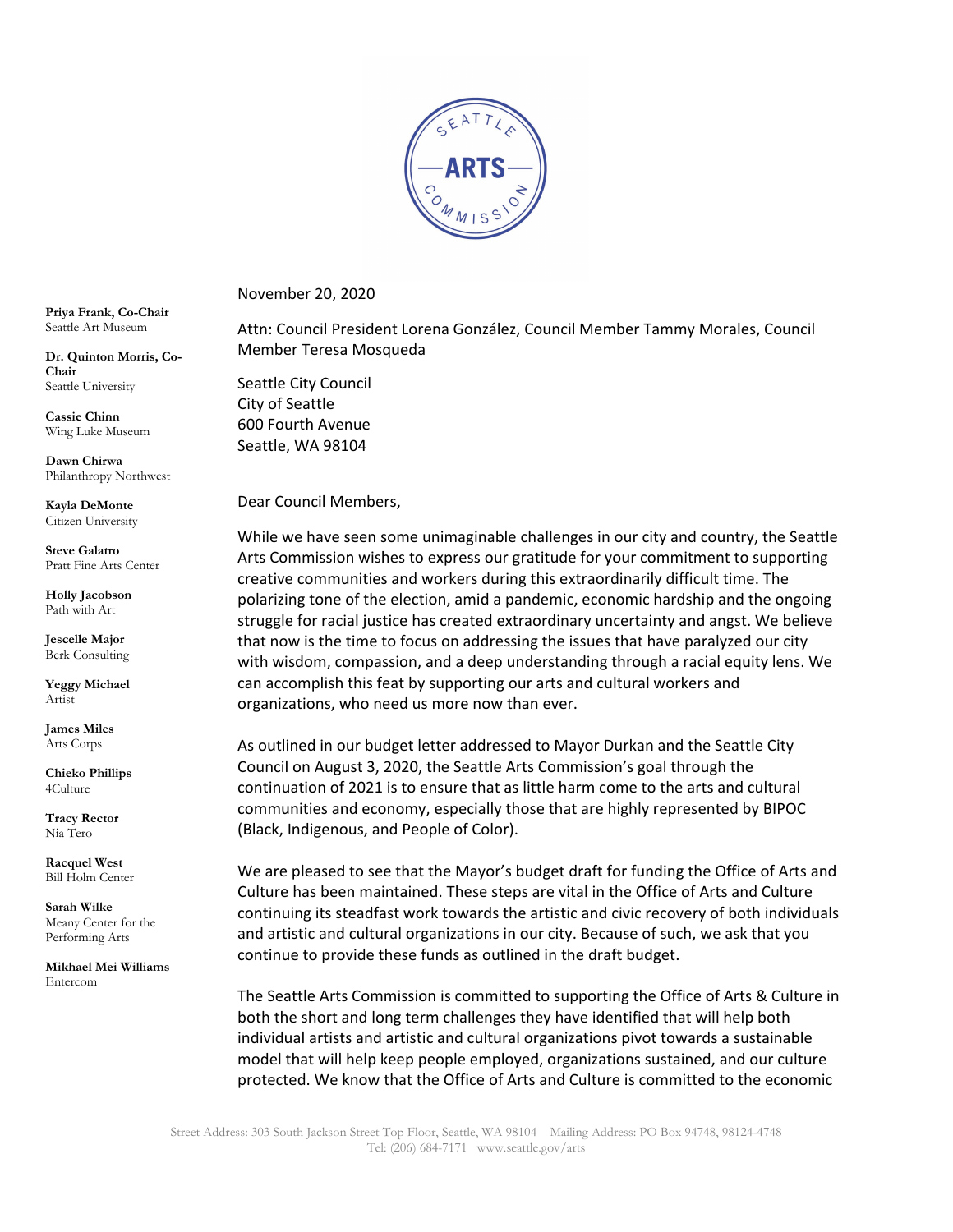

November 20, 2020

Attn: Council President Lorena González, Council Member Tammy Morales, Council Member Teresa Mosqueda

Seattle City Council City of Seattle 600 Fourth Avenue Seattle, WA 98104

Dear Council Members,

While we have seen some unimaginable challenges in our city and country, the Seattle Arts Commission wishes to express our gratitude for your commitment to supporting creative communities and workers during this extraordinarily difficult time. The polarizing tone of the election, amid a pandemic, economic hardship and the ongoing struggle for racial justice has created extraordinary uncertainty and angst. We believe that now is the time to focus on addressing the issues that have paralyzed our city with wisdom, compassion, and a deep understanding through a racial equity lens. We can accomplish this feat by supporting our arts and cultural workers and organizations, who need us more now than ever.

As outlined in our budget letter addressed to Mayor Durkan and the Seattle City Council on August 3, 2020, the Seattle Arts Commission's goal through the continuation of 2021 is to ensure that as little harm come to the arts and cultural communities and economy, especially those that are highly represented by BIPOC (Black, Indigenous, and People of Color).

We are pleased to see that the Mayor's budget draft for funding the Office of Arts and Culture has been maintained. These steps are vital in the Office of Arts and Culture continuing its steadfast work towards the artistic and civic recovery of both individuals and artistic and cultural organizations in our city. Because of such, we ask that you continue to provide these funds as outlined in the draft budget.

The Seattle Arts Commission is committed to supporting the Office of Arts & Culture in both the short and long term challenges they have identified that will help both individual artists and artistic and cultural organizations pivot towards a sustainable model that will help keep people employed, organizations sustained, and our culture protected. We know that the Office of Arts and Culture is committed to the economic

**Priya Frank, Co-Chair**  Seattle Art Museum

**Dr. Quinton Morris, Co-Chair** Seattle University

**Cassie Chinn** Wing Luke Museum

**Dawn Chirwa** Philanthropy Northwest

**Kayla DeMonte** Citizen University

**Steve Galatro** Pratt Fine Arts Center

**Holly Jacobson**  Path with Art

**Jescelle Major** Berk Consulting

**Yeggy Michael** Artist

**James Miles** Arts Corps

**Chieko Phillips** 4Culture

**Tracy Rector** Nia Tero

**Racquel West** Bill Holm Center

**Sarah Wilke** Meany Center for the Performing Arts

**Mikhael Mei Williams** Entercom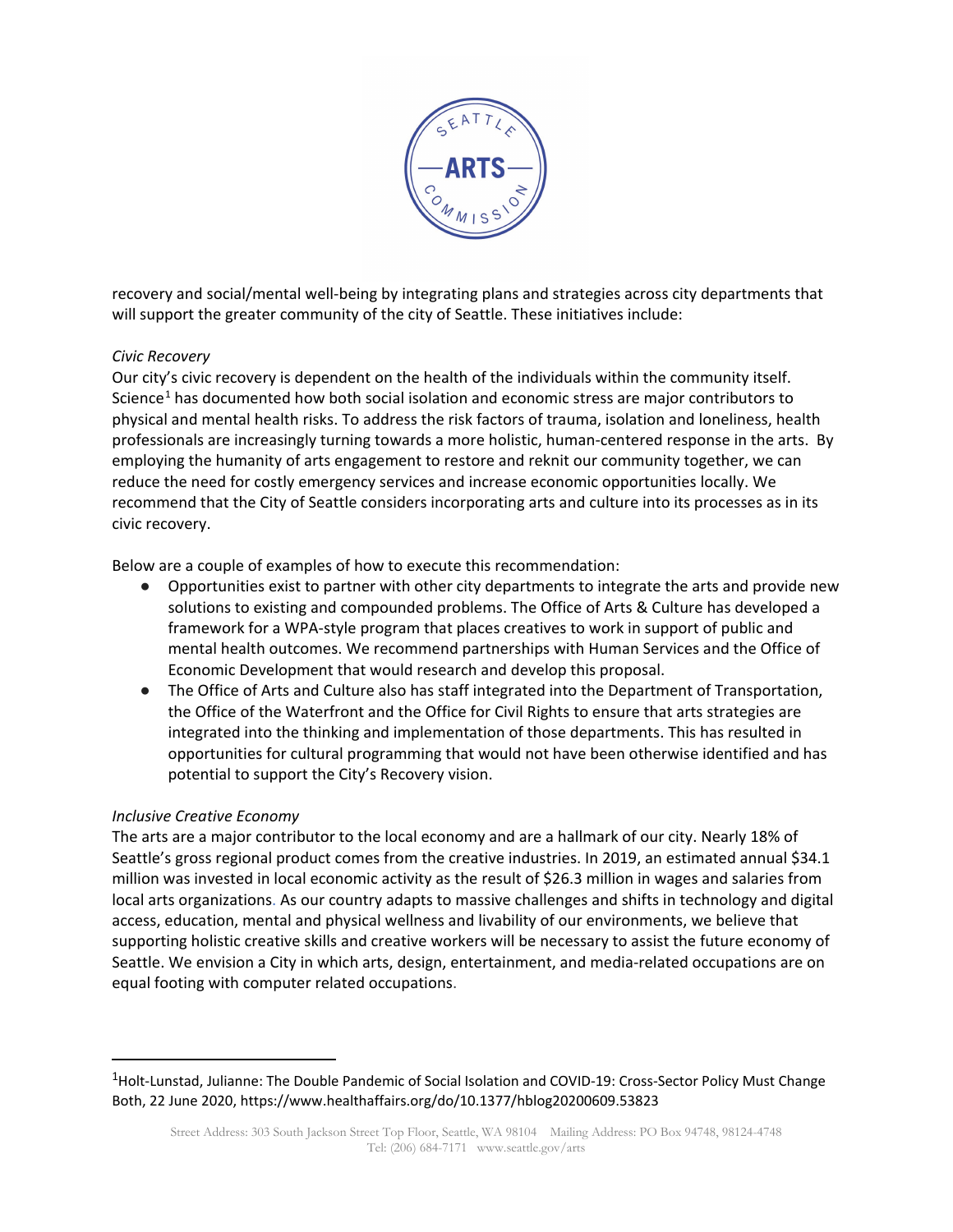

recovery and social/mental well-being by integrating plans and strategies across city departments that will support the greater community of the city of Seattle. These initiatives include:

## *Civic Recovery*

Our city's civic recovery is dependent on the health of the individuals within the community itself. Science<sup>[1](#page-1-0)</sup> has documented how both social isolation and economic stress are major contributors to physical and mental health risks. To address the risk factors of trauma, isolation and loneliness, health professionals are increasingly turning towards a more holistic, human-centered response in the arts. By employing the humanity of arts engagement to restore and reknit our community together, we can reduce the need for costly emergency services and increase economic opportunities locally. We recommend that the City of Seattle considers incorporating arts and culture into its processes as in its civic recovery.

Below are a couple of examples of how to execute this recommendation:

- Opportunities exist to partner with other city departments to integrate the arts and provide new solutions to existing and compounded problems. The Office of Arts & Culture has developed a framework for a WPA-style program that places creatives to work in support of public and mental health outcomes. We recommend partnerships with Human Services and the Office of Economic Development that would research and develop this proposal.
- The Office of Arts and Culture also has staff integrated into the Department of Transportation, the Office of the Waterfront and the Office for Civil Rights to ensure that arts strategies are integrated into the thinking and implementation of those departments. This has resulted in opportunities for cultural programming that would not have been otherwise identified and has potential to support the City's Recovery vision.

## *Inclusive Creative Economy*

The arts are a major contributor to the local economy and are a hallmark of our city. Nearly 18% of Seattle's gross regional product comes from the creative industries. In 2019, an estimated annual \$34.1 million was invested in local economic activity as the result of \$26.3 million in wages and salaries from local arts organizations. As our country adapts to massive challenges and shifts in technology and digital access, education, mental and physical wellness and livability of our environments, we believe that supporting holistic creative skills and creative workers will be necessary to assist the future economy of Seattle. We envision a City in which arts, design, entertainment, and media-related occupations are on equal footing with computer related occupations.

<span id="page-1-0"></span><sup>&</sup>lt;sup>1</sup>Holt-Lunstad, Julianne: The Double Pandemic of Social Isolation and COVID-19: Cross-Sector Policy Must Change Both, 22 June 2020, https://www.healthaffairs.org/do/10.1377/hblog20200609.53823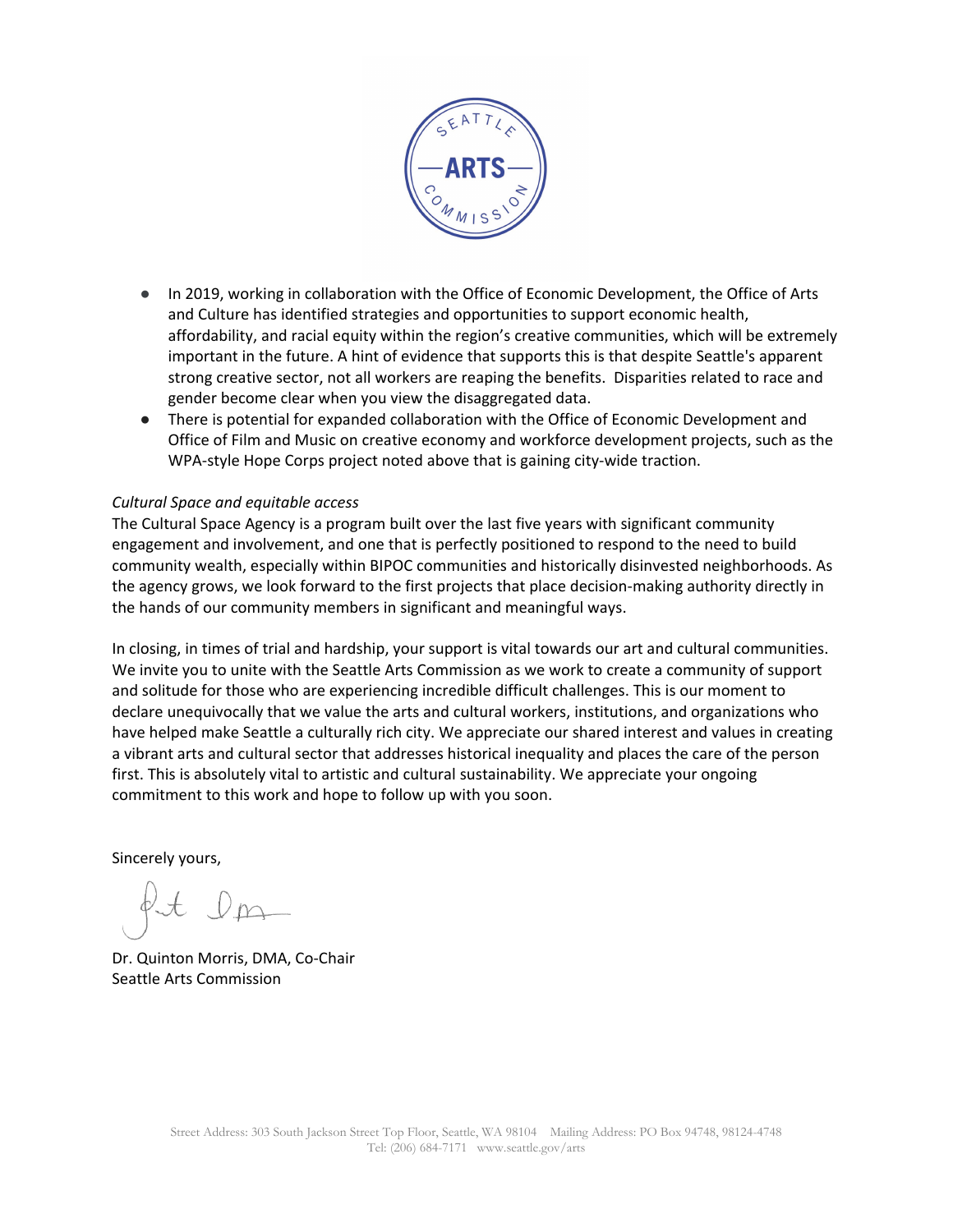

- In 2019, working in collaboration with the Office of Economic Development, the Office of Arts and Culture has identified strategies and opportunities to support economic health, affordability, and racial equity within the region's creative communities, which will be extremely important in the future. A hint of evidence that supports this is that despite Seattle's apparent strong creative sector, not all workers are reaping the benefits. Disparities related to race and gender become clear when you view the disaggregated data.
- There is potential for expanded collaboration with the Office of Economic Development and Office of Film and Music on creative economy and workforce development projects, such as the WPA-style Hope Corps project noted above that is gaining city-wide traction.

## *Cultural Space and equitable access*

The Cultural Space Agency is a program built over the last five years with significant community engagement and involvement, and one that is perfectly positioned to respond to the need to build community wealth, especially within BIPOC communities and historically disinvested neighborhoods. As the agency grows, we look forward to the first projects that place decision-making authority directly in the hands of our community members in significant and meaningful ways.

In closing, in times of trial and hardship, your support is vital towards our art and cultural communities. We invite you to unite with the Seattle Arts Commission as we work to create a community of support and solitude for those who are experiencing incredible difficult challenges. This is our moment to declare unequivocally that we value the arts and cultural workers, institutions, and organizations who have helped make Seattle a culturally rich city. We appreciate our shared interest and values in creating a vibrant arts and cultural sector that addresses historical inequality and places the care of the person first. This is absolutely vital to artistic and cultural sustainability. We appreciate your ongoing commitment to this work and hope to follow up with you soon.

Sincerely yours,

Dr. Quinton Morris, DMA, Co-Chair Seattle Arts Commission